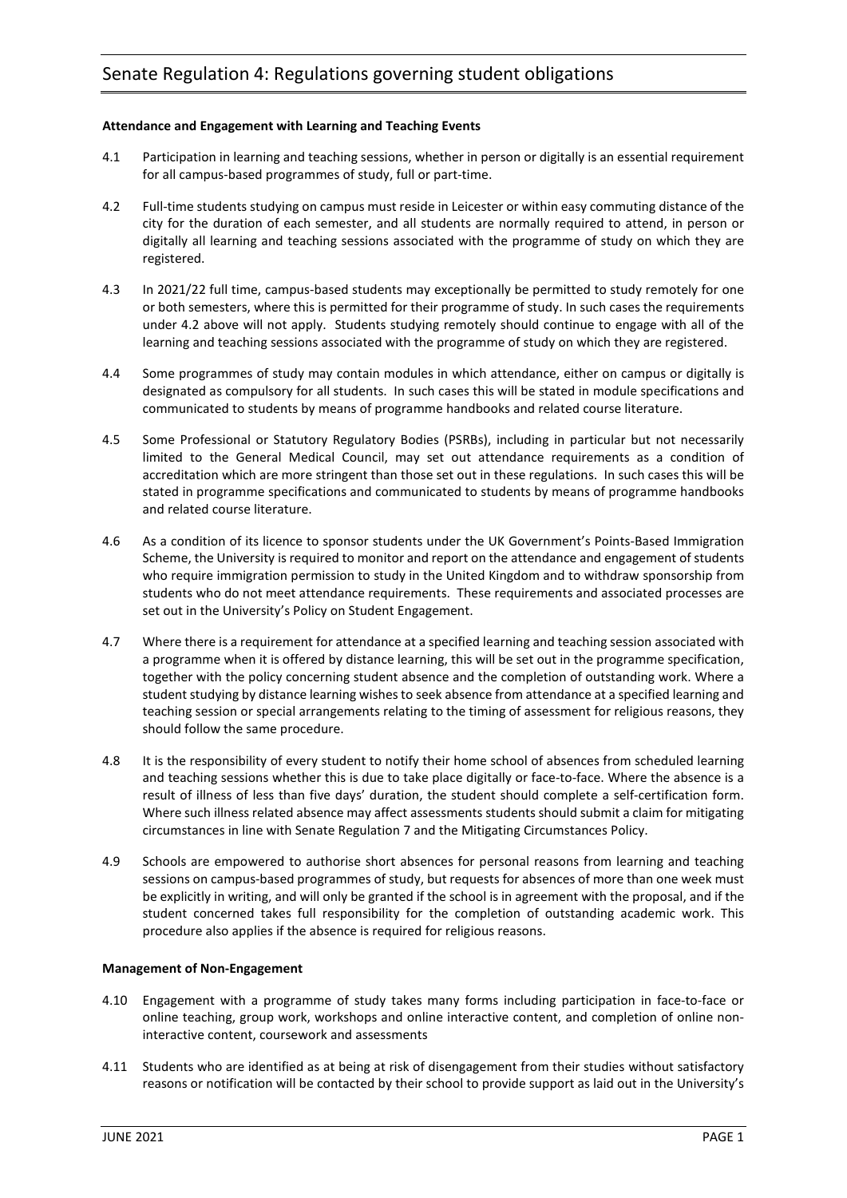# **Attendance and Engagement with Learning and Teaching Events**

- 4.1 Participation in learning and teaching sessions, whether in person or digitally is an essential requirement for all campus-based programmes of study, full or part-time.
- 4.2 Full-time students studying on campus must reside in Leicester or within easy commuting distance of the city for the duration of each semester, and all students are normally required to attend, in person or digitally all learning and teaching sessions associated with the programme of study on which they are registered.
- 4.3 In 2021/22 full time, campus-based students may exceptionally be permitted to study remotely for one or both semesters, where this is permitted for their programme of study. In such cases the requirements under 4.2 above will not apply. Students studying remotely should continue to engage with all of the learning and teaching sessions associated with the programme of study on which they are registered.
- 4.4 Some programmes of study may contain modules in which attendance, either on campus or digitally is designated as compulsory for all students. In such cases this will be stated in module specifications and communicated to students by means of programme handbooks and related course literature.
- 4.5 Some Professional or Statutory Regulatory Bodies (PSRBs), including in particular but not necessarily limited to the General Medical Council, may set out attendance requirements as a condition of accreditation which are more stringent than those set out in these regulations. In such cases this will be stated in programme specifications and communicated to students by means of programme handbooks and related course literature.
- 4.6 As a condition of its licence to sponsor students under the UK Government's Points-Based Immigration Scheme, the University is required to monitor and report on the attendance and engagement of students who require immigration permission to study in the United Kingdom and to withdraw sponsorship from students who do not meet attendance requirements. These requirements and associated processes are set out in the University's Policy on Student Engagement.
- 4.7 Where there is a requirement for attendance at a specified learning and teaching session associated with a programme when it is offered by distance learning, this will be set out in the programme specification, together with the policy concerning student absence and the completion of outstanding work. Where a student studying by distance learning wishes to seek absence from attendance at a specified learning and teaching session or special arrangements relating to the timing of assessment for religious reasons, they should follow the same procedure.
- 4.8 It is the responsibility of every student to notify their home school of absences from scheduled learning and teaching sessions whether this is due to take place digitally or face-to-face. Where the absence is a result of illness of less than five days' duration, the student should complete a self-certification form. Where such illness related absence may affect assessments students should submit a claim for mitigating circumstances in line with Senate Regulation 7 and the Mitigating Circumstances Policy.
- 4.9 Schools are empowered to authorise short absences for personal reasons from learning and teaching sessions on campus-based programmes of study, but requests for absences of more than one week must be explicitly in writing, and will only be granted if the school is in agreement with the proposal, and if the student concerned takes full responsibility for the completion of outstanding academic work. This procedure also applies if the absence is required for religious reasons.

## **Management of Non-Engagement**

- 4.10 Engagement with a programme of study takes many forms including participation in face-to-face or online teaching, group work, workshops and online interactive content, and completion of online noninteractive content, coursework and assessments
- 4.11 Students who are identified as at being at risk of disengagement from their studies without satisfactory reasons or notification will be contacted by their school to provide support as laid out in the University's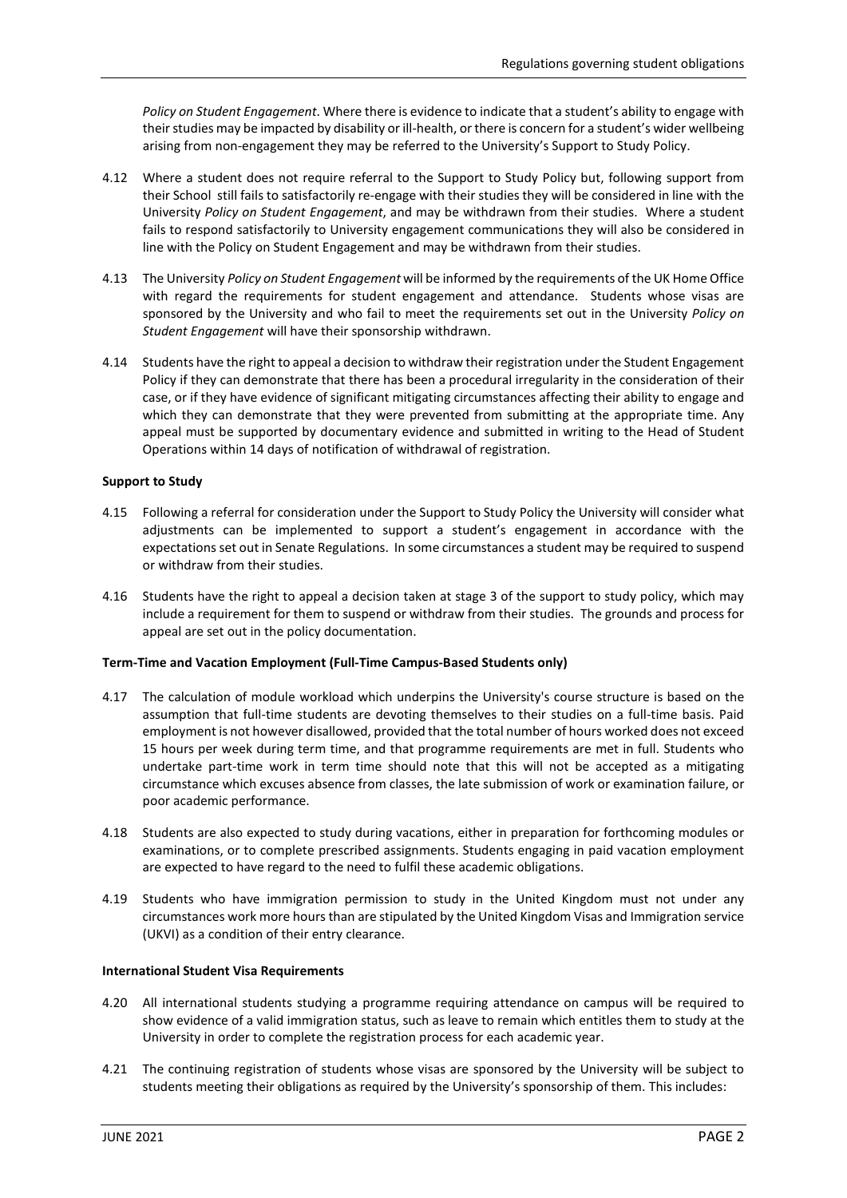*Policy on Student Engagement*. Where there is evidence to indicate that a student's ability to engage with their studies may be impacted by disability or ill-health, or there is concern for a student's wider wellbeing arising from non-engagement they may be referred to the University's Support to Study Policy.

- 4.12 Where a student does not require referral to the Support to Study Policy but, following support from their School still fails to satisfactorily re-engage with their studies they will be considered in line with the University *Policy on Student Engagement*, and may be withdrawn from their studies. Where a student fails to respond satisfactorily to University engagement communications they will also be considered in line with the Policy on Student Engagement and may be withdrawn from their studies.
- 4.13 The University *Policy on Student Engagement* will be informed by the requirements of the UK Home Office with regard the requirements for student engagement and attendance. Students whose visas are sponsored by the University and who fail to meet the requirements set out in the University *Policy on Student Engagement* will have their sponsorship withdrawn.
- 4.14 Students have the right to appeal a decision to withdraw their registration under the Student Engagement Policy if they can demonstrate that there has been a procedural irregularity in the consideration of their case, or if they have evidence of significant mitigating circumstances affecting their ability to engage and which they can demonstrate that they were prevented from submitting at the appropriate time. Any appeal must be supported by documentary evidence and submitted in writing to the Head of Student Operations within 14 days of notification of withdrawal of registration.

#### **Support to Study**

- 4.15 Following a referral for consideration under the Support to Study Policy the University will consider what adjustments can be implemented to support a student's engagement in accordance with the expectations set out in Senate Regulations. In some circumstances a student may be required to suspend or withdraw from their studies.
- 4.16 Students have the right to appeal a decision taken at stage 3 of the support to study policy, which may include a requirement for them to suspend or withdraw from their studies. The grounds and process for appeal are set out in the policy documentation.

# **Term-Time and Vacation Employment (Full-Time Campus-Based Students only)**

- 4.17 The calculation of module workload which underpins the University's course structure is based on the assumption that full-time students are devoting themselves to their studies on a full-time basis. Paid employment is not however disallowed, provided that the total number of hours worked does not exceed 15 hours per week during term time, and that programme requirements are met in full. Students who undertake part-time work in term time should note that this will not be accepted as a mitigating circumstance which excuses absence from classes, the late submission of work or examination failure, or poor academic performance.
- 4.18 Students are also expected to study during vacations, either in preparation for forthcoming modules or examinations, or to complete prescribed assignments. Students engaging in paid vacation employment are expected to have regard to the need to fulfil these academic obligations.
- 4.19 Students who have immigration permission to study in the United Kingdom must not under any circumstances work more hours than are stipulated by the United Kingdom Visas and Immigration service (UKVI) as a condition of their entry clearance.

## **International Student Visa Requirements**

- 4.20 All international students studying a programme requiring attendance on campus will be required to show evidence of a valid immigration status, such as leave to remain which entitles them to study at the University in order to complete the registration process for each academic year.
- 4.21 The continuing registration of students whose visas are sponsored by the University will be subject to students meeting their obligations as required by the University's sponsorship of them. This includes: